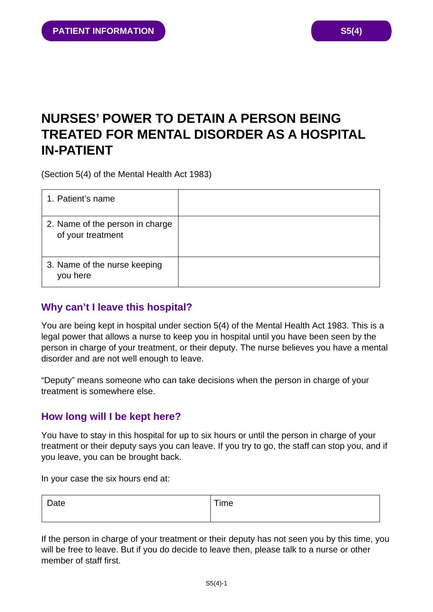# **NURSES' POWER TO DETAIN A PERSON BEING TREATED FOR MENTAL DISORDER AS A HOSPITAL IN-PATIENT**

(Section 5(4) of the Mental Health Act 1983)

| 1. Patient's name                                    |  |
|------------------------------------------------------|--|
| 2. Name of the person in charge<br>of your treatment |  |
| 3. Name of the nurse keeping<br>you here             |  |

## **Why can't I leave this hospital?**

You are being kept in hospital under section 5(4) of the Mental Health Act 1983. This is a legal power that allows a nurse to keep you in hospital until you have been seen by the person in charge of your treatment, or their deputy. The nurse believes you have a mental disorder and are not well enough to leave.

"Deputy" means someone who can take decisions when the person in charge of your treatment is somewhere else.

## **How long will I be kept here?**

You have to stay in this hospital for up to six hours or until the person in charge of your treatment or their deputy says you can leave. If you try to go, the staff can stop you, and if you leave, you can be brought back.

In your case the six hours end at:

| Date | Time |
|------|------|
|      |      |

If the person in charge of your treatment or their deputy has not seen you by this time, you will be free to leave. But if you do decide to leave then, please talk to a nurse or other member of staff first.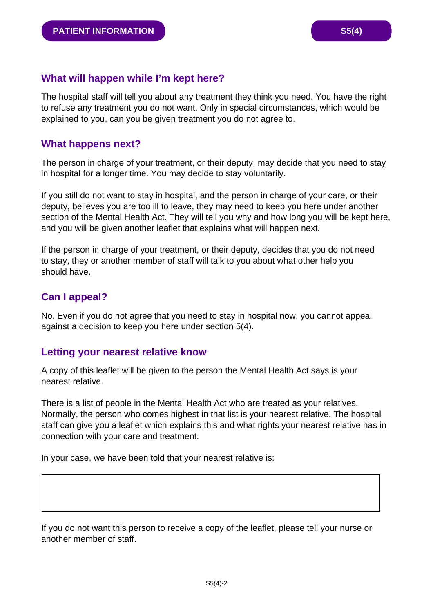### **What will happen while I'm kept here?**

The hospital staff will tell you about any treatment they think you need. You have the right to refuse any treatment you do not want. Only in special circumstances, which would be explained to you, can you be given treatment you do not agree to.

#### **What happens next?**

The person in charge of your treatment, or their deputy, may decide that you need to stay in hospital for a longer time. You may decide to stay voluntarily.

If you still do not want to stay in hospital, and the person in charge of your care, or their deputy, believes you are too ill to leave, they may need to keep you here under another section of the Mental Health Act. They will tell you why and how long you will be kept here, and you will be given another leaflet that explains what will happen next.

If the person in charge of your treatment, or their deputy, decides that you do not need to stay, they or another member of staff will talk to you about what other help you should have.

#### **Can I appeal?**

No. Even if you do not agree that you need to stay in hospital now, you cannot appeal against a decision to keep you here under section 5(4).

#### **Letting your nearest relative know**

A copy of this leaflet will be given to the person the Mental Health Act says is your nearest relative.

There is a list of people in the Mental Health Act who are treated as your relatives. Normally, the person who comes highest in that list is your nearest relative. The hospital staff can give you a leaflet which explains this and what rights your nearest relative has in connection with your care and treatment.

In your case, we have been told that your nearest relative is:

If you do not want this person to receive a copy of the leaflet, please tell your nurse or another member of staff.